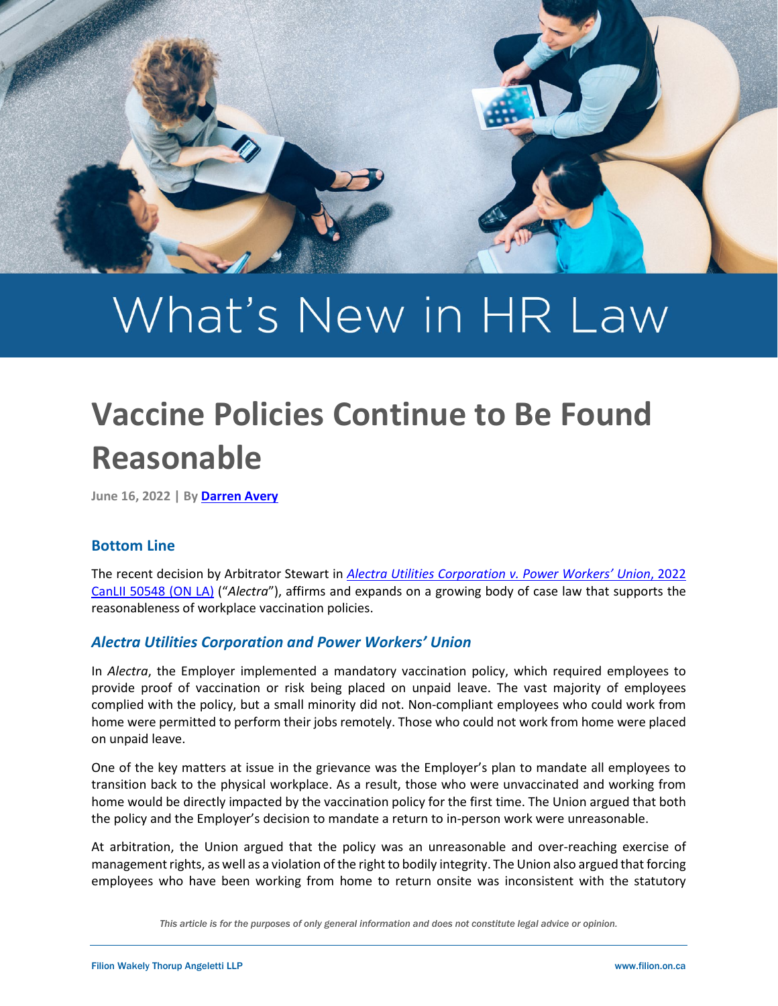

# What's New in HR Law

# **Vaccine Policies Continue to Be Found Reasonable**

**June 16, 2022 | By [Darren Avery](https://filion.on.ca/lawyers/darren-avery/)**

## **Bottom Line**

The recent decision by Arbitrator Stewart in *[Alectra Utilities Corporation v. Power Workers' Union](https://www.canlii.org/en/on/onla/doc/2022/2022canlii50548/2022canlii50548.html)*, 2022 [CanLII 50548 \(ON LA\)](https://www.canlii.org/en/on/onla/doc/2022/2022canlii50548/2022canlii50548.html) ("*Alectra*"), affirms and expands on a growing body of case law that supports the reasonableness of workplace vaccination policies.

## *Alectra Utilities Corporation and Power Workers' Union*

In *Alectra*, the Employer implemented a mandatory vaccination policy, which required employees to provide proof of vaccination or risk being placed on unpaid leave. The vast majority of employees complied with the policy, but a small minority did not. Non-compliant employees who could work from home were permitted to perform their jobs remotely. Those who could not work from home were placed on unpaid leave.

One of the key matters at issue in the grievance was the Employer's plan to mandate all employees to transition back to the physical workplace. As a result, those who were unvaccinated and working from home would be directly impacted by the vaccination policy for the first time. The Union argued that both the policy and the Employer's decision to mandate a return to in-person work were unreasonable.

At arbitration, the Union argued that the policy was an unreasonable and over-reaching exercise of management rights, as well as a violation of the right to bodily integrity. The Union also argued that forcing employees who have been working from home to return onsite was inconsistent with the statutory

*This article is for the purposes of only general information and does not constitute legal advice or opinion.*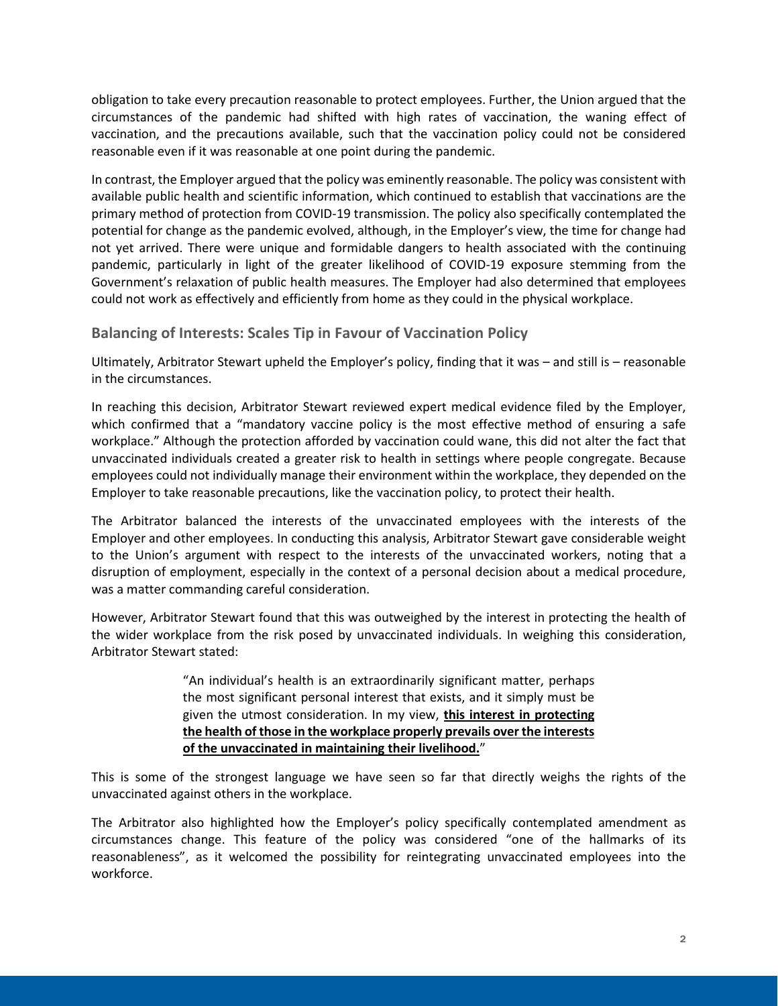obligation to take every precaution reasonable to protect employees. Further, the Union argued that the circumstances of the pandemic had shifted with high rates of vaccination, the waning effect of vaccination, and the precautions available, such that the vaccination policy could not be considered reasonable even if it was reasonable at one point during the pandemic.

In contrast, the Employer argued that the policy was eminently reasonable. The policy was consistent with available public health and scientific information, which continued to establish that vaccinations are the primary method of protection from COVID-19 transmission. The policy also specifically contemplated the potential for change as the pandemic evolved, although, in the Employer's view, the time for change had not yet arrived. There were unique and formidable dangers to health associated with the continuing pandemic, particularly in light of the greater likelihood of COVID-19 exposure stemming from the Government's relaxation of public health measures. The Employer had also determined that employees could not work as effectively and efficiently from home as they could in the physical workplace.

**Balancing of Interests: Scales Tip in Favour of Vaccination Policy**

Ultimately, Arbitrator Stewart upheld the Employer's policy, finding that it was – and still is – reasonable in the circumstances.

In reaching this decision, Arbitrator Stewart reviewed expert medical evidence filed by the Employer, which confirmed that a "mandatory vaccine policy is the most effective method of ensuring a safe workplace." Although the protection afforded by vaccination could wane, this did not alter the fact that unvaccinated individuals created a greater risk to health in settings where people congregate. Because employees could not individually manage their environment within the workplace, they depended on the Employer to take reasonable precautions, like the vaccination policy, to protect their health.

The Arbitrator balanced the interests of the unvaccinated employees with the interests of the Employer and other employees. In conducting this analysis, Arbitrator Stewart gave considerable weight to the Union's argument with respect to the interests of the unvaccinated workers, noting that a disruption of employment, especially in the context of a personal decision about a medical procedure, was a matter commanding careful consideration.

However, Arbitrator Stewart found that this was outweighed by the interest in protecting the health of the wider workplace from the risk posed by unvaccinated individuals. In weighing this consideration, Arbitrator Stewart stated:

> "An individual's health is an extraordinarily significant matter, perhaps the most significant personal interest that exists, and it simply must be given the utmost consideration. In my view, **this interest in protecting the health of those in the workplace properly prevails over the interests of the unvaccinated in maintaining their livelihood.**"

This is some of the strongest language we have seen so far that directly weighs the rights of the unvaccinated against others in the workplace.

The Arbitrator also highlighted how the Employer's policy specifically contemplated amendment as circumstances change. This feature of the policy was considered "one of the hallmarks of its reasonableness", as it welcomed the possibility for reintegrating unvaccinated employees into the workforce.